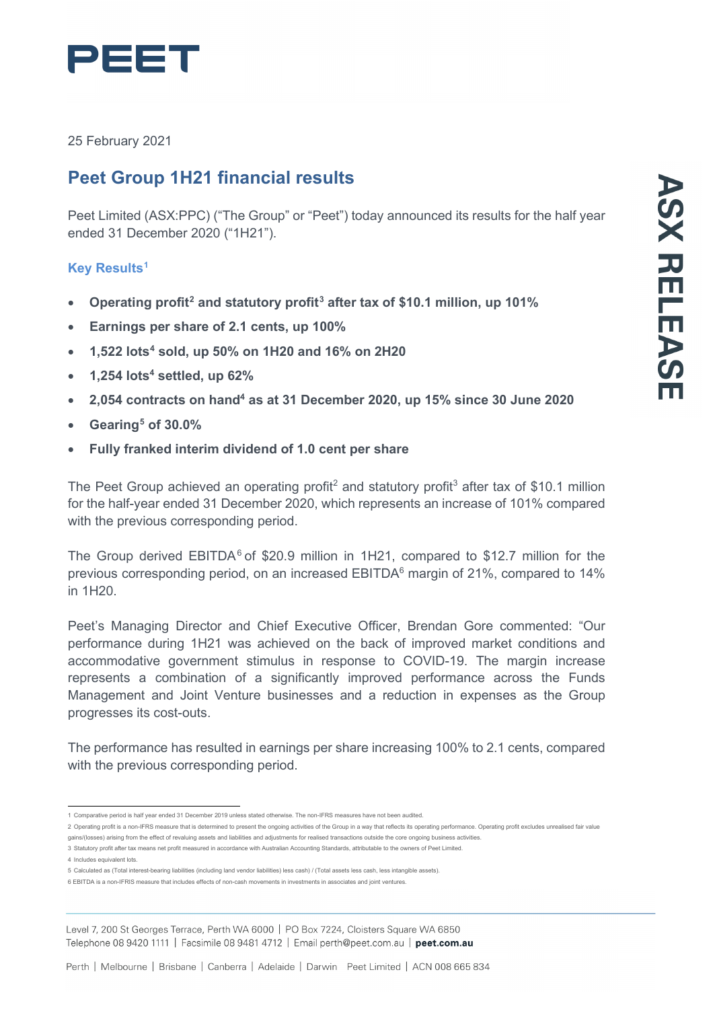

25 February 2021

# **Peet Group 1H21 financial results**

Peet Limited (ASX:PPC) ("The Group" or "Peet") today announced its results for the half year ended 31 December 2020 ("1H21").

# **Key Results[1](#page-0-0)**

- **Operating profit[2](#page-0-1) and statutory profit[3](#page-0-2) after tax of \$10.1 million, up 101%**
- **Earnings per share of 2.1 cents, up 100%**
- **1,522 lots[4](#page-0-3) sold, up 50% on 1H20 and 16% on 2H20**
- **1,254 lots4 settled, up 62%**
- **2,054 contracts on hand4 as at 31 December 2020, up 15% since 30 June 2020**
- **Gearing[5](#page-0-4) of 30.0%**
- **Fully franked interim dividend of 1.0 cent per share**

The Peet Group achieved an operating profit<sup>2</sup> and statutory profit<sup>3</sup> after tax of \$10.1 million for the half-year ended 31 December 2020, which represents an increase of 101% compared with the previous corresponding period.

The Group derived  $EBITDA<sup>6</sup>$  $EBITDA<sup>6</sup>$  $EBITDA<sup>6</sup>$  of \$20.9 million in 1H21, compared to \$12.7 million for the previous corresponding period, on an increased EBITDA<sup>6</sup> margin of 21%, compared to 14% in 1H20.

Peet's Managing Director and Chief Executive Officer, Brendan Gore commented: "Our performance during 1H21 was achieved on the back of improved market conditions and accommodative government stimulus in response to COVID-19. The margin increase represents a combination of a significantly improved performance across the Funds Management and Joint Venture businesses and a reduction in expenses as the Group progresses its cost-outs.

The performance has resulted in earnings per share increasing 100% to 2.1 cents, compared with the previous corresponding period.

<span id="page-0-2"></span>3 Statutory profit after tax means net profit measured in accordance with Australian Accounting Standards, attributable to the owners of Peet Limited.

<span id="page-0-3"></span>4 Includes equivalent lots.

Level 7, 200 St Georges Terrace, Perth WA 6000 | PO Box 7224, Cloisters Square WA 6850 Telephone 08 9420 1111 | Facsimile 08 9481 4712 | Email perth@peet.com.au | peet.com.au

<sup>1</sup> Comparative period is half year ended 31 December 2019 unless stated otherwise. The non-IFRS measures have not been audited.

<span id="page-0-1"></span><span id="page-0-0"></span><sup>2</sup> Operating profit is a non-IFRS measure that is determined to present the ongoing activities of the Group in a way that reflects its operating performance. Operating profit excludes unrealised fair value gains/(losses) arising from the effect of revaluing assets and liabilities and adjustments for realised transactions outside the core ongoing business activities.

<span id="page-0-4"></span><sup>5</sup> Calculated as (Total interest-bearing liabilities (including land vendor liabilities) less cash) / (Total assets less cash, less intangible assets).

<span id="page-0-5"></span><sup>6</sup> EBITDA is a non-IFRIS measure that includes effects of non-cash movements in investments in associates and joint ventures.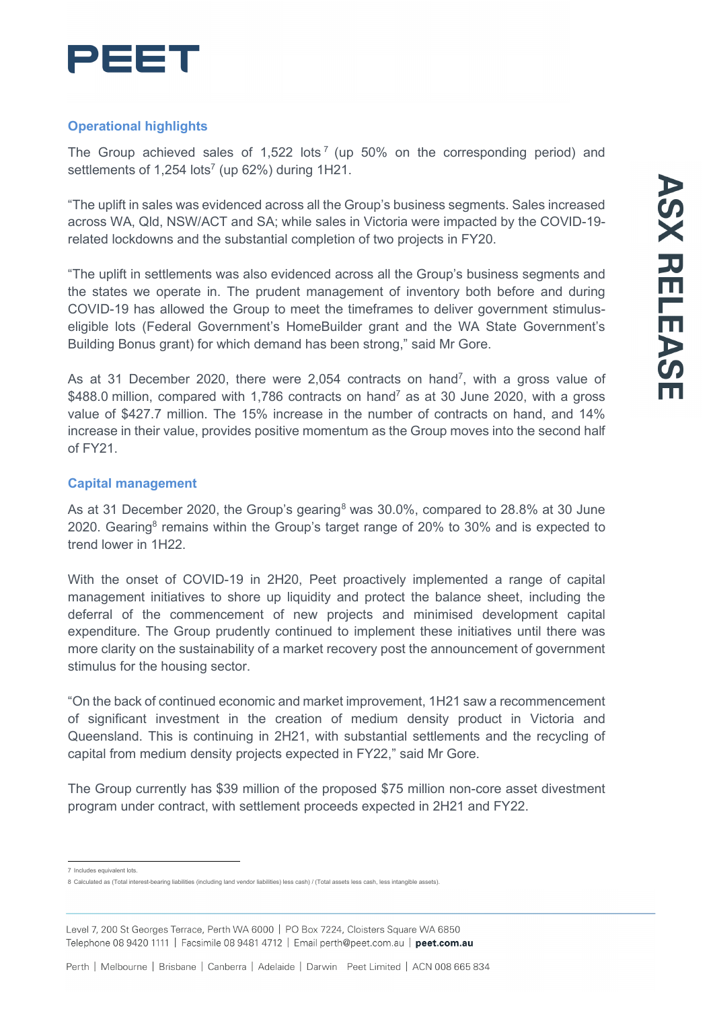

# **Operational highlights**

The Group achieved sales of 1,522 lots<sup>[7](#page-1-0)</sup> (up 50% on the corresponding period) and settlements of  $1,254$  lots<sup>7</sup> (up  $62\%$ ) during  $1H21$ .

"The uplift in sales was evidenced across all the Group's business segments. Sales increased across WA, Qld, NSW/ACT and SA; while sales in Victoria were impacted by the COVID-19 related lockdowns and the substantial completion of two projects in FY20.

"The uplift in settlements was also evidenced across all the Group's business segments and the states we operate in. The prudent management of inventory both before and during COVID-19 has allowed the Group to meet the timeframes to deliver government stimuluseligible lots (Federal Government's HomeBuilder grant and the WA State Government's Building Bonus grant) for which demand has been strong," said Mr Gore.

As at 31 December 2020, there were 2,054 contracts on hand<sup>7</sup>, with a gross value of \$488.0 million, compared with 1,786 contracts on hand<sup>7</sup> as at 30 June 2020, with a gross value of \$427.7 million. The 15% increase in the number of contracts on hand, and 14% increase in their value, provides positive momentum as the Group moves into the second half of FY21.

## **Capital management**

As at 31 December 2020, the Group's gearing<sup>[8](#page-1-1)</sup> was 30.0%, compared to 28.8% at 30 June 2020. Gearing<sup>8</sup> remains within the Group's target range of 20% to 30% and is expected to trend lower in 1H22.

With the onset of COVID-19 in 2H20, Peet proactively implemented a range of capital management initiatives to shore up liquidity and protect the balance sheet, including the deferral of the commencement of new projects and minimised development capital expenditure. The Group prudently continued to implement these initiatives until there was more clarity on the sustainability of a market recovery post the announcement of government stimulus for the housing sector.

"On the back of continued economic and market improvement, 1H21 saw a recommencement of significant investment in the creation of medium density product in Victoria and Queensland. This is continuing in 2H21, with substantial settlements and the recycling of capital from medium density projects expected in FY22," said Mr Gore.

The Group currently has \$39 million of the proposed \$75 million non-core asset divestment program under contract, with settlement proceeds expected in 2H21 and FY22.

<sup>7</sup> Includes equivalent lots.

<span id="page-1-1"></span><span id="page-1-0"></span><sup>8</sup> Calculated as (Total interest-bearing liabilities (including land vendor liabilities) less cash) / (Total assets less cash, less intangible assets).

Level 7, 200 St Georges Terrace, Perth WA 6000 | PO Box 7224, Cloisters Square WA 6850 Telephone 08 9420 1111 | Facsimile 08 9481 4712 | Email perth@peet.com.au | peet.com.au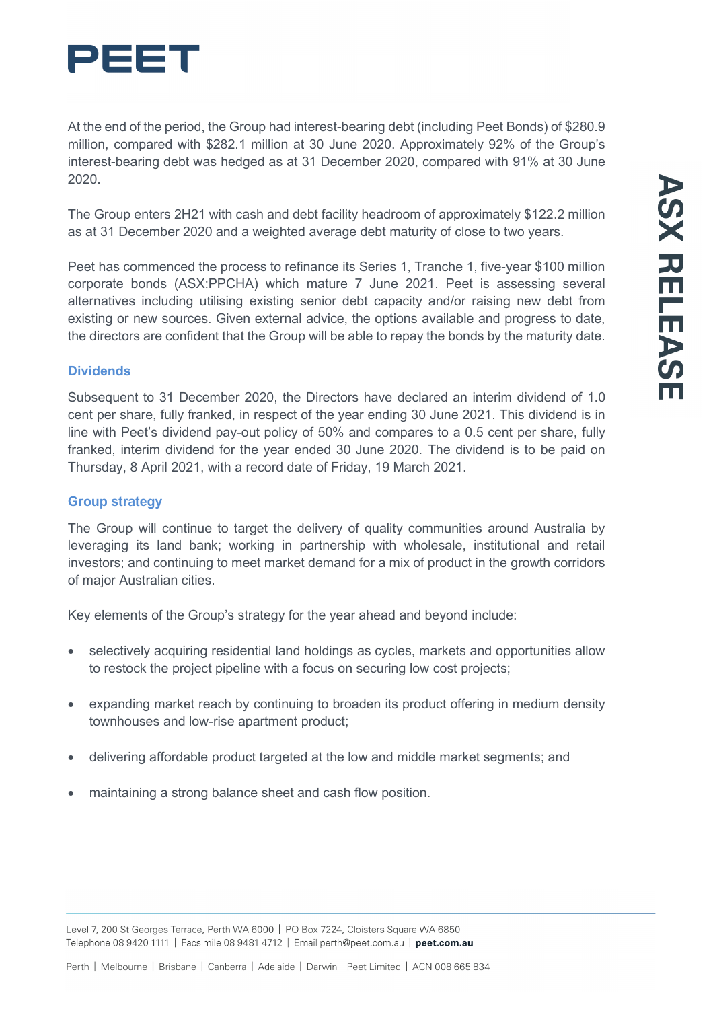

At the end of the period, the Group had interest-bearing debt (including Peet Bonds) of \$280.9 million, compared with \$282.1 million at 30 June 2020. Approximately 92% of the Group's interest-bearing debt was hedged as at 31 December 2020, compared with 91% at 30 June 2020.

The Group enters 2H21 with cash and debt facility headroom of approximately \$122.2 million as at 31 December 2020 and a weighted average debt maturity of close to two years.

Peet has commenced the process to refinance its Series 1, Tranche 1, five-year \$100 million corporate bonds (ASX:PPCHA) which mature 7 June 2021. Peet is assessing several alternatives including utilising existing senior debt capacity and/or raising new debt from existing or new sources. Given external advice, the options available and progress to date, the directors are confident that the Group will be able to repay the bonds by the maturity date.

#### **Dividends**

Subsequent to 31 December 2020, the Directors have declared an interim dividend of 1.0 cent per share, fully franked, in respect of the year ending 30 June 2021. This dividend is in line with Peet's dividend pay-out policy of 50% and compares to a 0.5 cent per share, fully franked, interim dividend for the year ended 30 June 2020. The dividend is to be paid on Thursday, 8 April 2021, with a record date of Friday, 19 March 2021.

#### **Group strategy**

The Group will continue to target the delivery of quality communities around Australia by leveraging its land bank; working in partnership with wholesale, institutional and retail investors; and continuing to meet market demand for a mix of product in the growth corridors of major Australian cities.

Key elements of the Group's strategy for the year ahead and beyond include:

- selectively acquiring residential land holdings as cycles, markets and opportunities allow to restock the project pipeline with a focus on securing low cost projects;
- expanding market reach by continuing to broaden its product offering in medium density townhouses and low-rise apartment product;
- delivering affordable product targeted at the low and middle market segments; and
- maintaining a strong balance sheet and cash flow position.

Level 7, 200 St Georges Terrace, Perth WA 6000 | PO Box 7224, Cloisters Square WA 6850 Telephone 08 9420 1111 | Facsimile 08 9481 4712 | Email perth@peet.com.au | peet.com.au